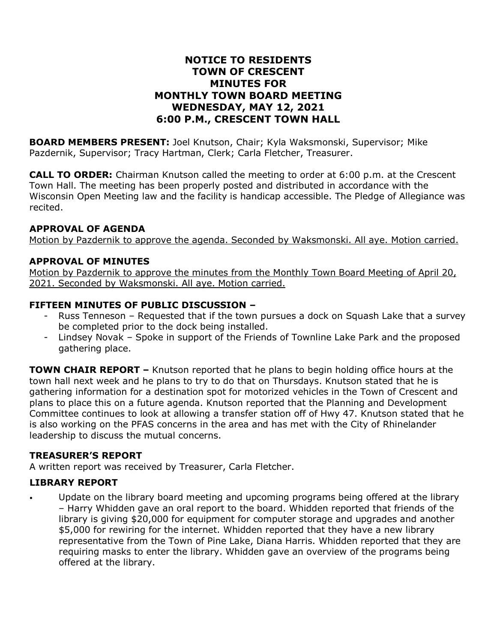## **NOTICE TO RESIDENTS TOWN OF CRESCENT MINUTES FOR MONTHLY TOWN BOARD MEETING WEDNESDAY, MAY 12, 2021 6:00 P.M., CRESCENT TOWN HALL**

**BOARD MEMBERS PRESENT:** Joel Knutson, Chair; Kyla Waksmonski, Supervisor; Mike Pazdernik, Supervisor; Tracy Hartman, Clerk; Carla Fletcher, Treasurer.

**CALL TO ORDER:** Chairman Knutson called the meeting to order at 6:00 p.m. at the Crescent Town Hall. The meeting has been properly posted and distributed in accordance with the Wisconsin Open Meeting law and the facility is handicap accessible. The Pledge of Allegiance was recited.

#### **APPROVAL OF AGENDA**

Motion by Pazdernik to approve the agenda. Seconded by Waksmonski. All aye. Motion carried.

#### **APPROVAL OF MINUTES**

Motion by Pazdernik to approve the minutes from the Monthly Town Board Meeting of April 20, 2021. Seconded by Waksmonski. All aye. Motion carried.

#### **FIFTEEN MINUTES OF PUBLIC DISCUSSION –**

- Russ Tenneson Requested that if the town pursues a dock on Squash Lake that a survey be completed prior to the dock being installed.
- Lindsey Novak Spoke in support of the Friends of Townline Lake Park and the proposed gathering place.

**TOWN CHAIR REPORT –** Knutson reported that he plans to begin holding office hours at the town hall next week and he plans to try to do that on Thursdays. Knutson stated that he is gathering information for a destination spot for motorized vehicles in the Town of Crescent and plans to place this on a future agenda. Knutson reported that the Planning and Development Committee continues to look at allowing a transfer station off of Hwy 47. Knutson stated that he is also working on the PFAS concerns in the area and has met with the City of Rhinelander leadership to discuss the mutual concerns.

#### **TREASURER'S REPORT**

A written report was received by Treasurer, Carla Fletcher.

#### **LIBRARY REPORT**

• Update on the library board meeting and upcoming programs being offered at the library – Harry Whidden gave an oral report to the board. Whidden reported that friends of the library is giving \$20,000 for equipment for computer storage and upgrades and another \$5,000 for rewiring for the internet. Whidden reported that they have a new library representative from the Town of Pine Lake, Diana Harris. Whidden reported that they are requiring masks to enter the library. Whidden gave an overview of the programs being offered at the library.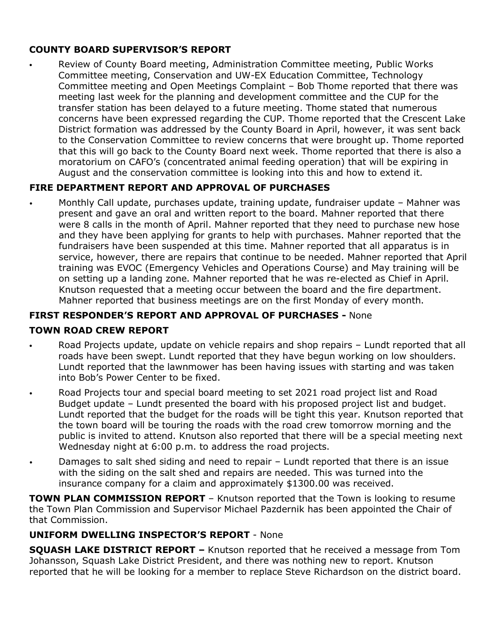## **COUNTY BOARD SUPERVISOR'S REPORT**

• Review of County Board meeting, Administration Committee meeting, Public Works Committee meeting, Conservation and UW-EX Education Committee, Technology Committee meeting and Open Meetings Complaint – Bob Thome reported that there was meeting last week for the planning and development committee and the CUP for the transfer station has been delayed to a future meeting. Thome stated that numerous concerns have been expressed regarding the CUP. Thome reported that the Crescent Lake District formation was addressed by the County Board in April, however, it was sent back to the Conservation Committee to review concerns that were brought up. Thome reported that this will go back to the County Board next week. Thome reported that there is also a moratorium on CAFO's (concentrated animal feeding operation) that will be expiring in August and the conservation committee is looking into this and how to extend it.

# **FIRE DEPARTMENT REPORT AND APPROVAL OF PURCHASES**

• Monthly Call update, purchases update, training update, fundraiser update – Mahner was present and gave an oral and written report to the board. Mahner reported that there were 8 calls in the month of April. Mahner reported that they need to purchase new hose and they have been applying for grants to help with purchases. Mahner reported that the fundraisers have been suspended at this time. Mahner reported that all apparatus is in service, however, there are repairs that continue to be needed. Mahner reported that April training was EVOC (Emergency Vehicles and Operations Course) and May training will be on setting up a landing zone. Mahner reported that he was re-elected as Chief in April. Knutson requested that a meeting occur between the board and the fire department. Mahner reported that business meetings are on the first Monday of every month.

## **FIRST RESPONDER'S REPORT AND APPROVAL OF PURCHASES -** None

## **TOWN ROAD CREW REPORT**

- Road Projects update, update on vehicle repairs and shop repairs Lundt reported that all roads have been swept. Lundt reported that they have begun working on low shoulders. Lundt reported that the lawnmower has been having issues with starting and was taken into Bob's Power Center to be fixed.
- Road Projects tour and special board meeting to set 2021 road project list and Road Budget update – Lundt presented the board with his proposed project list and budget. Lundt reported that the budget for the roads will be tight this year. Knutson reported that the town board will be touring the roads with the road crew tomorrow morning and the public is invited to attend. Knutson also reported that there will be a special meeting next Wednesday night at 6:00 p.m. to address the road projects.
- Damages to salt shed siding and need to repair Lundt reported that there is an issue with the siding on the salt shed and repairs are needed. This was turned into the insurance company for a claim and approximately \$1300.00 was received.

**TOWN PLAN COMMISSION REPORT** – Knutson reported that the Town is looking to resume the Town Plan Commission and Supervisor Michael Pazdernik has been appointed the Chair of that Commission.

## **UNIFORM DWELLING INSPECTOR'S REPORT** - None

**SQUASH LAKE DISTRICT REPORT –** Knutson reported that he received a message from Tom Johansson, Squash Lake District President, and there was nothing new to report. Knutson reported that he will be looking for a member to replace Steve Richardson on the district board.